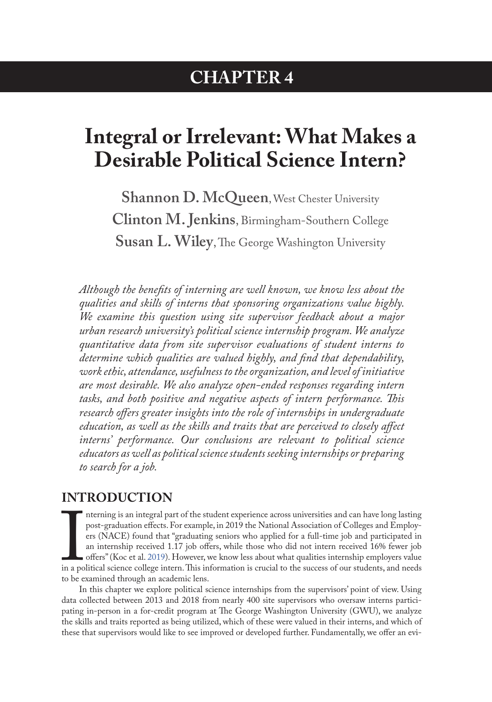## **CHAPTER 4**

# **Integral or Irrelevant: What Makes a Desirable Political Science Intern?**

**Shannon D. McQueen**, West Chester University **Clinton M. Jenkins**, Birmingham-Southern College **Susan L. Wiley**, The George Washington University

*Although the benefits of interning are well known, we know less about the qualities and skills of interns that sponsoring organizations value highly. We examine this question using site supervisor feedback about a major urban research university's political science internship program. We analyze quantitative data from site supervisor evaluations of student interns to determine which qualities are valued highly, and find that dependability, work ethic, attendance, usefulness to the organization, and level of initiative are most desirable. We also analyze open-ended responses regarding intern tasks, and both positive and negative aspects of intern performance. This research offers greater insights into the role of internships in undergraduate education, as well as the skills and traits that are perceived to closely affect interns' performance. Our conclusions are relevant to political science educators as well as political science students seeking internships or preparing to search for a job.*

#### **INTRODUCTION**

In a po nterning is an integral part of the student experience across universities and can have long lasting post-graduation effects. For example, in 2019 the National Association of Colleges and Employers (NACE) found that "graduating seniors who applied for a full-time job and participated in an internship received 1.17 job offers, while those who did not intern received 16% fewer job offers" (Koc et al. 2019). However, we know less about what qualities internship employers value in a political science college intern. This information is crucial to the success of our students, and needs to be examined through an academic lens.

In this chapter we explore political science internships from the supervisors' point of view. Using data collected between 2013 and 2018 from nearly 400 site supervisors who oversaw interns participating in-person in a for-credit program at The George Washington University (GWU), we analyze the skills and traits reported as being utilized, which of these were valued in their interns, and which of these that supervisors would like to see improved or developed further. Fundamentally, we offer an evi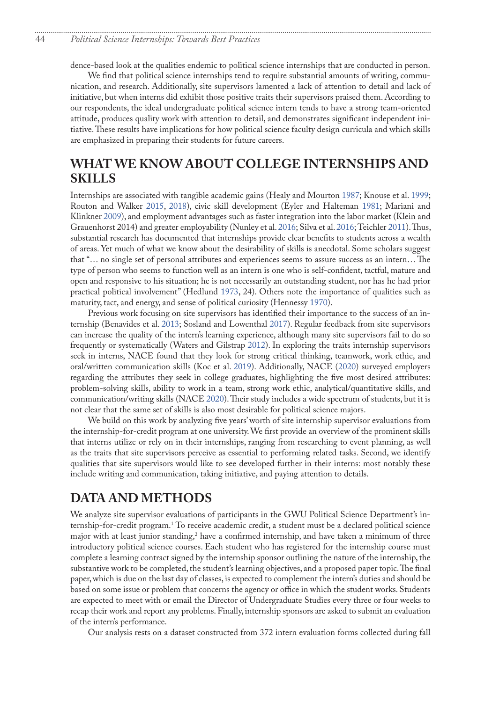<span id="page-1-0"></span>dence-based look at the qualities endemic to political science internships that are conducted in person.

We find that political science internships tend to require substantial amounts of writing, communication, and research. Additionally, site supervisors lamented a lack of attention to detail and lack of initiative, but when interns did exhibit those positive traits their supervisors praised them. According to our respondents, the ideal undergraduate political science intern tends to have a strong team-oriented attitude, produces quality work with attention to detail, and demonstrates significant independent initiative. These results have implications for how political science faculty design curricula and which skills are emphasized in preparing their students for future careers.

#### **WHAT WE KNOW ABOUT COLLEGE INTERNSHIPS AND SKILLS**

Internships are associated with tangible academic gains (Healy and Mourton 1987; Knouse et al. 1999; Routon and Walker 2015, [2018](#page-7-0)), civic skill development (Eyler and Halteman 1981; Mariani and Klinkner 2009), and employment advantages such as faster integration into the labor market (Klein and Grauenhorst 2014) and greater employability (Nunley et al. 2016; Silva et al. [2016;](#page-7-1) Teichler [2011\)](#page-7-2). Thus, substantial research has documented that internships provide clear benefits to students across a wealth of areas. Yet much of what we know about the desirability of skills is anecdotal. Some scholars suggest that "… no single set of personal attributes and experiences seems to assure success as an intern… The type of person who seems to function well as an intern is one who is self-confident, tactful, mature and open and responsive to his situation; he is not necessarily an outstanding student, nor has he had prior practical political involvement" (Hedlund 1973, 24). Others note the importance of qualities such as maturity, tact, and energy, and sense of political curiosity (Hennessy [1970](#page-7-3)).

Previous work focusing on site supervisors has identified their importance to the success of an internship (Benavides et al. 2013; Sosland and Lowenthal [2017](#page-7-4)). Regular feedback from site supervisors can increase the quality of the intern's learning experience, although many site supervisors fail to do so frequently or systematically (Waters and Gilstrap [2012\)](#page-7-5). In exploring the traits internship supervisors seek in interns, NACE found that they look for strong critical thinking, teamwork, work ethic, and oral/written communication skills (Koc et al. 2019). Additionally, NACE (2020) surveyed employers regarding the attributes they seek in college graduates, highlighting the five most desired attributes: problem-solving skills, ability to work in a team, strong work ethic, analytical/quantitative skills, and communication/writing skills (NACE 2020). Their study includes a wide spectrum of students, but it is not clear that the same set of skills is also most desirable for political science majors.

We build on this work by analyzing five years' worth of site internship supervisor evaluations from the internship-for-credit program at one university. We first provide an overview of the prominent skills that interns utilize or rely on in their internships, ranging from researching to event planning, as well as the traits that site supervisors perceive as essential to performing related tasks. Second, we identify qualities that site supervisors would like to see developed further in their interns: most notably these include writing and communication, taking initiative, and paying attention to details.

#### **DATA AND METHODS**

We analyze site supervisor evaluations of participants in the GWU Political Science Department's internship-for-credit program.<sup>1</sup> To receive academic credit, a student must be a declared political science major with at least junior standing, $^2$  $^2$  have a confirmed internship, and have taken a minimum of three introductory political science courses. Each student who has registered for the internship course must complete a learning contract signed by the internship sponsor outlining the nature of the internship, the substantive work to be completed, the student's learning objectives, and a proposed paper topic. The final paper, which is due on the last day of classes, is expected to complement the intern's duties and should be based on some issue or problem that concerns the agency or office in which the student works. Students are expected to meet with or email the Director of Undergraduate Studies every three or four weeks to recap their work and report any problems. Finally, internship sponsors are asked to submit an evaluation of the intern's performance.

Our analysis rests on a dataset constructed from 372 intern evaluation forms collected during fall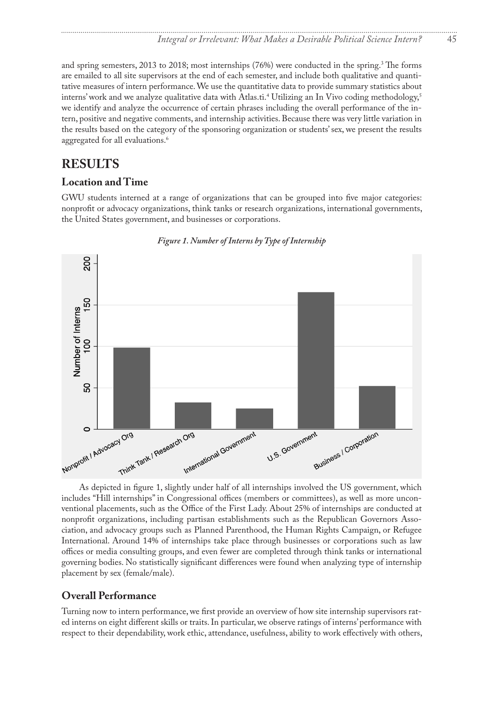<span id="page-2-0"></span>and spring semesters, 2013 to 2018; most internships (76%) were conducted in the spring.<sup>3</sup> The forms are emailed to all site supervisors at the end of each semester, and include both qualitative and quantitative measures of intern performance. We use the quantitative data to provide summary statistics about interns' work and we analyze qualitative data with Atlas.ti.<sup>4</sup> Utilizing an In Vivo coding methodology,<sup>5</sup> we identify and analyze the occurrence of certain phrases including the overall performance of the intern, positive and negative comments, and internship activities. Because there was very little variation in the results based on the category of the sponsoring organization or students' sex, we present the results aggregated for all evaluations.<sup>6</sup>

### **RESULTS**

#### **Location and Time**

GWU students interned at a range of organizations that can be grouped into five major categories: nonprofit or advocacy organizations, think tanks or research organizations, international governments, the United States government, and businesses or corporations.



#### *Figure 1. Number of Interns by Type of Internship*

As depicted in figure 1, slightly under half of all internships involved the US government, which includes "Hill internships" in Congressional offices (members or committees), as well as more unconventional placements, such as the Office of the First Lady. About 25% of internships are conducted at nonprofit organizations, including partisan establishments such as the Republican Governors Association, and advocacy groups such as Planned Parenthood, the Human Rights Campaign, or Refugee International. Around 14% of internships take place through businesses or corporations such as law offices or media consulting groups, and even fewer are completed through think tanks or international governing bodies. No statistically significant differences were found when analyzing type of internship placement by sex (female/male).

#### **Overall Performance**

Turning now to intern performance, we first provide an overview of how site internship supervisors rated interns on eight different skills or traits. In particular, we observe ratings of interns' performance with respect to their dependability, work ethic, attendance, usefulness, ability to work effectively with others,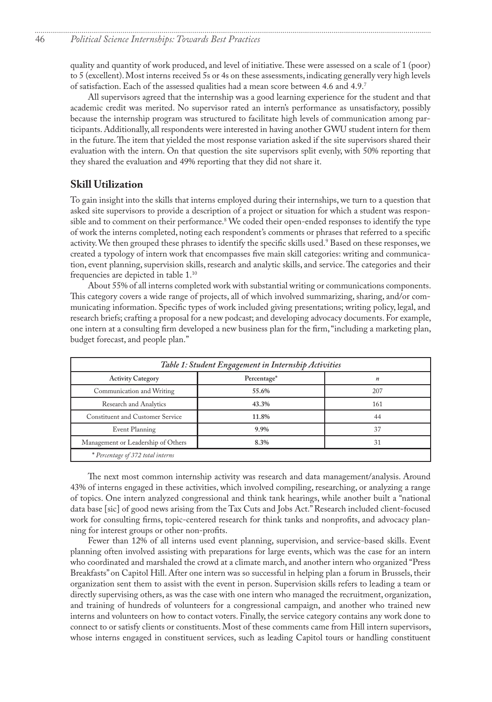<span id="page-3-0"></span>quality and quantity of work produced, and level of initiative. These were assessed on a scale of 1 (poor) to 5 (excellent). Most interns received 5s or 4s on these assessments, indicating generally very high levels of satisfaction. Each of the assessed qualities had a mean score between 4.6 and 4.9.[7](#page-8-0)

All supervisors agreed that the internship was a good learning experience for the student and that academic credit was merited. No supervisor rated an intern's performance as unsatisfactory, possibly because the internship program was structured to facilitate high levels of communication among participants. Additionally, all respondents were interested in having another GWU student intern for them in the future. The item that yielded the most response variation asked if the site supervisors shared their evaluation with the intern. On that question the site supervisors split evenly, with 50% reporting that they shared the evaluation and 49% reporting that they did not share it.

#### **Skill Utilization**

To gain insight into the skills that interns employed during their internships, we turn to a question that asked site supervisors to provide a description of a project or situation for which a student was responsible and to comment on their performance.<sup>8</sup> We coded their open-ended responses to identify the type of work the interns completed, noting each respondent's comments or phrases that referred to a specific activity. We then grouped these phrases to identify the specific skills used[.9](#page-8-0) Based on these responses, we created a typology of intern work that encompasses five main skill categories: writing and communication, event planning, supervision skills, research and analytic skills, and service. The categories and their frequencies are depicted in table 1.[10](#page-8-0)

About 55% of all interns completed work with substantial writing or communications components. This category covers a wide range of projects, all of which involved summarizing, sharing, and/or communicating information. Specific types of work included giving presentations; writing policy, legal, and research briefs; crafting a proposal for a new podcast; and developing advocacy documents. For example, one intern at a consulting firm developed a new business plan for the firm, "including a marketing plan, budget forecast, and people plan."

| Table 1: Student Engagement in Internship Activities |             |                  |  |
|------------------------------------------------------|-------------|------------------|--|
| <b>Activity Category</b>                             | Percentage* | $\boldsymbol{n}$ |  |
| Communication and Writing                            | 55.6%       | 207              |  |
| Research and Analytics                               | 43.3%       | 161              |  |
| <b>Constituent and Customer Service</b>              | 11.8%       | 44               |  |
| Event Planning                                       | 9.9%        | 37               |  |
| Management or Leadership of Others                   | 8.3%        | 31               |  |
| * Percentage of 372 total interns                    |             |                  |  |

The next most common internship activity was research and data management/analysis. Around 43% of interns engaged in these activities, which involved compiling, researching, or analyzing a range of topics. One intern analyzed congressional and think tank hearings, while another built a "national data base [sic] of good news arising from the Tax Cuts and Jobs Act." Research included client-focused work for consulting firms, topic-centered research for think tanks and nonprofits, and advocacy planning for interest groups or other non-profits.

Fewer than 12% of all interns used event planning, supervision, and service-based skills. Event planning often involved assisting with preparations for large events, which was the case for an intern who coordinated and marshaled the crowd at a climate march, and another intern who organized "Press Breakfasts" on Capitol Hill. After one intern was so successful in helping plan a forum in Brussels, their organization sent them to assist with the event in person. Supervision skills refers to leading a team or directly supervising others, as was the case with one intern who managed the recruitment, organization, and training of hundreds of volunteers for a congressional campaign, and another who trained new interns and volunteers on how to contact voters. Finally, the service category contains any work done to connect to or satisfy clients or constituents. Most of these comments came from Hill intern supervisors, whose interns engaged in constituent services, such as leading Capitol tours or handling constituent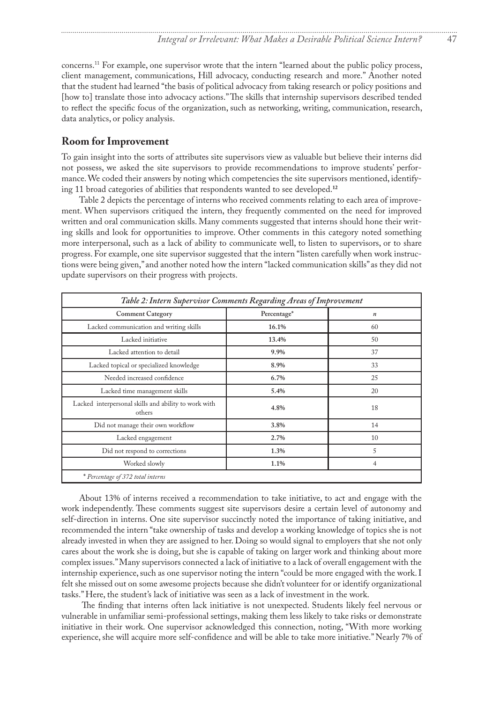<span id="page-4-0"></span>concerns.[11](#page-9-0) For example, one supervisor wrote that the intern "learned about the public policy process, client management, communications, Hill advocacy, conducting research and more." Another noted that the student had learned "the basis of political advocacy from taking research or policy positions and [how to] translate those into advocacy actions." The skills that internship supervisors described tended to reflect the specific focus of the organization, such as networking, writing, communication, research, data analytics, or policy analysis.

#### **Room for Improvement**

To gain insight into the sorts of attributes site supervisors view as valuable but believe their interns did not possess, we asked the site supervisors to provide recommendations to improve students' performance. We coded their answers by noting which competencies the site supervisors mentioned, identifying 11 broad categories of abilities that respondents wanted to see developed.**[12](#page-9-0)**

Table 2 depicts the percentage of interns who received comments relating to each area of improvement. When supervisors critiqued the intern, they frequently commented on the need for improved written and oral communication skills. Many comments suggested that interns should hone their writing skills and look for opportunities to improve. Other comments in this category noted something more interpersonal, such as a lack of ability to communicate well, to listen to supervisors, or to share progress. For example, one site supervisor suggested that the intern "listen carefully when work instructions were being given," and another noted how the intern "lacked communication skills" as they did not update supervisors on their progress with projects.

| Table 2: Intern Supervisor Comments Regarding Areas of Improvement |             |                  |  |
|--------------------------------------------------------------------|-------------|------------------|--|
| <b>Comment Category</b>                                            | Percentage* | $\boldsymbol{n}$ |  |
| Lacked communication and writing skills                            | 16.1%       | 60               |  |
| Lacked initiative                                                  | 13.4%       | 50               |  |
| Lacked attention to detail                                         | 9.9%        | 37               |  |
| Lacked topical or specialized knowledge                            | 8.9%        | 33               |  |
| Needed increased confidence                                        | 6.7%        | 25               |  |
| Lacked time management skills                                      | 5.4%        | 20               |  |
| Lacked interpersonal skills and ability to work with<br>others     | 4.8%        | 18               |  |
| Did not manage their own workflow                                  | 3.8%        | 14               |  |
| Lacked engagement                                                  | 2.7%        | 10               |  |
| Did not respond to corrections                                     | 1.3%        | 5                |  |
| Worked slowly                                                      | 1.1%        | 4                |  |
| * Percentage of 372 total interns                                  |             |                  |  |

About 13% of interns received a recommendation to take initiative, to act and engage with the work independently. These comments suggest site supervisors desire a certain level of autonomy and self-direction in interns. One site supervisor succinctly noted the importance of taking initiative, and recommended the intern "take ownership of tasks and develop a working knowledge of topics she is not already invested in when they are assigned to her. Doing so would signal to employers that she not only cares about the work she is doing, but she is capable of taking on larger work and thinking about more complex issues." Many supervisors connected a lack of initiative to a lack of overall engagement with the internship experience, such as one supervisor noting the intern "could be more engaged with the work. I felt she missed out on some awesome projects because she didn't volunteer for or identify organizational tasks." Here, the student's lack of initiative was seen as a lack of investment in the work.

 The finding that interns often lack initiative is not unexpected. Students likely feel nervous or vulnerable in unfamiliar semi-professional settings, making them less likely to take risks or demonstrate initiative in their work. One supervisor acknowledged this connection, noting, "With more working experience, she will acquire more self-confidence and will be able to take more initiative." Nearly 7% of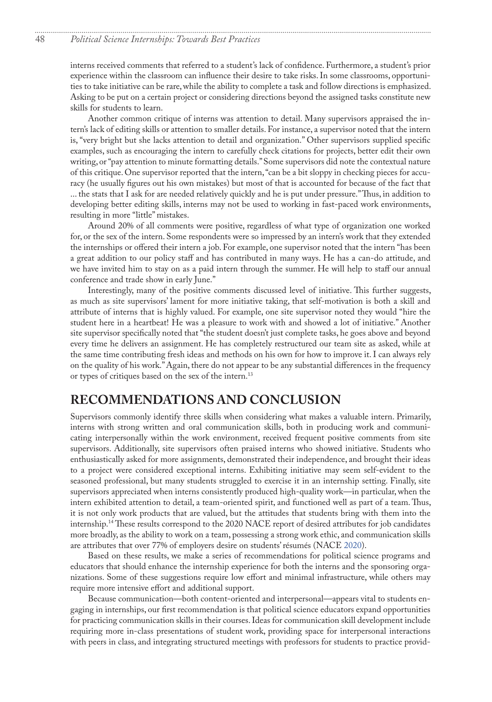<span id="page-5-0"></span>interns received comments that referred to a student's lack of confidence. Furthermore, a student's prior experience within the classroom can influence their desire to take risks. In some classrooms, opportunities to take initiative can be rare, while the ability to complete a task and follow directions is emphasized. Asking to be put on a certain project or considering directions beyond the assigned tasks constitute new skills for students to learn.

Another common critique of interns was attention to detail. Many supervisors appraised the intern's lack of editing skills or attention to smaller details. For instance, a supervisor noted that the intern is, "very bright but she lacks attention to detail and organization." Other supervisors supplied specific examples, such as encouraging the intern to carefully check citations for projects, better edit their own writing, or "pay attention to minute formatting details." Some supervisors did note the contextual nature of this critique. One supervisor reported that the intern, "can be a bit sloppy in checking pieces for accuracy (he usually figures out his own mistakes) but most of that is accounted for because of the fact that ... the stats that I ask for are needed relatively quickly and he is put under pressure." Thus, in addition to developing better editing skills, interns may not be used to working in fast-paced work environments, resulting in more "little" mistakes.

Around 20% of all comments were positive, regardless of what type of organization one worked for, or the sex of the intern. Some respondents were so impressed by an intern's work that they extended the internships or offered their intern a job. For example, one supervisor noted that the intern "has been a great addition to our policy staff and has contributed in many ways. He has a can-do attitude, and we have invited him to stay on as a paid intern through the summer. He will help to staff our annual conference and trade show in early June."

Interestingly, many of the positive comments discussed level of initiative. This further suggests, as much as site supervisors' lament for more initiative taking, that self-motivation is both a skill and attribute of interns that is highly valued. For example, one site supervisor noted they would "hire the student here in a heartbeat! He was a pleasure to work with and showed a lot of initiative." Another site supervisor specifically noted that "the student doesn't just complete tasks, he goes above and beyond every time he delivers an assignment. He has completely restructured our team site as asked, while at the same time contributing fresh ideas and methods on his own for how to improve it. I can always rely on the quality of his work." Again, there do not appear to be any substantial differences in the frequency or types of critiques based on the sex of the intern.[13](#page-9-0)

#### **RECOMMENDATIONS AND CONCLUSION**

Supervisors commonly identify three skills when considering what makes a valuable intern. Primarily, interns with strong written and oral communication skills, both in producing work and communicating interpersonally within the work environment, received frequent positive comments from site supervisors. Additionally, site supervisors often praised interns who showed initiative. Students who enthusiastically asked for more assignments, demonstrated their independence, and brought their ideas to a project were considered exceptional interns. Exhibiting initiative may seem self-evident to the seasoned professional, but many students struggled to exercise it in an internship setting. Finally, site supervisors appreciated when interns consistently produced high-quality work—in particular, when the intern exhibited attention to detail, a team-oriented spirit, and functioned well as part of a team. Thus, it is not only work products that are valued, but the attitudes that students bring with them into the internship.[14](#page-9-0) These results correspond to the 2020 NACE report of desired attributes for job candidates more broadly, as the ability to work on a team, possessing a strong work ethic, and communication skills are attributes that over 77% of employers desire on students' résumés (NACE 2020).

Based on these results, we make a series of recommendations for political science programs and educators that should enhance the internship experience for both the interns and the sponsoring organizations. Some of these suggestions require low effort and minimal infrastructure, while others may require more intensive effort and additional support.

Because communication—both content-oriented and interpersonal—appears vital to students engaging in internships, our first recommendation is that political science educators expand opportunities for practicing communication skills in their courses. Ideas for communication skill development include requiring more in-class presentations of student work, providing space for interpersonal interactions with peers in class, and integrating structured meetings with professors for students to practice provid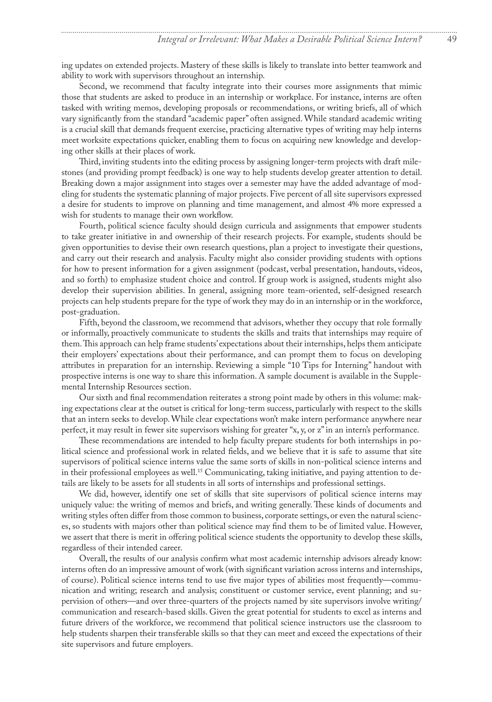<span id="page-6-0"></span>ing updates on extended projects. Mastery of these skills is likely to translate into better teamwork and ability to work with supervisors throughout an internship.

Second, we recommend that faculty integrate into their courses more assignments that mimic those that students are asked to produce in an internship or workplace. For instance, interns are often tasked with writing memos, developing proposals or recommendations, or writing briefs, all of which vary significantly from the standard "academic paper" often assigned. While standard academic writing is a crucial skill that demands frequent exercise, practicing alternative types of writing may help interns meet worksite expectations quicker, enabling them to focus on acquiring new knowledge and developing other skills at their places of work.

Third, inviting students into the editing process by assigning longer-term projects with draft milestones (and providing prompt feedback) is one way to help students develop greater attention to detail. Breaking down a major assignment into stages over a semester may have the added advantage of modeling for students the systematic planning of major projects. Five percent of all site supervisors expressed a desire for students to improve on planning and time management, and almost 4% more expressed a wish for students to manage their own workflow.

Fourth, political science faculty should design curricula and assignments that empower students to take greater initiative in and ownership of their research projects. For example, students should be given opportunities to devise their own research questions, plan a project to investigate their questions, and carry out their research and analysis. Faculty might also consider providing students with options for how to present information for a given assignment (podcast, verbal presentation, handouts, videos, and so forth) to emphasize student choice and control. If group work is assigned, students might also develop their supervision abilities. In general, assigning more team-oriented, self-designed research projects can help students prepare for the type of work they may do in an internship or in the workforce, post-graduation.

Fifth, beyond the classroom, we recommend that advisors, whether they occupy that role formally or informally, proactively communicate to students the skills and traits that internships may require of them. This approach can help frame students' expectations about their internships, helps them anticipate their employers' expectations about their performance, and can prompt them to focus on developing attributes in preparation for an internship. Reviewing a simple "10 Tips for Interning" handout with prospective interns is one way to share this information. A sample document is available in the Supplemental Internship Resources section.

Our sixth and final recommendation reiterates a strong point made by others in this volume: making expectations clear at the outset is critical for long-term success, particularly with respect to the skills that an intern seeks to develop. While clear expectations won't make intern performance anywhere near perfect, it may result in fewer site supervisors wishing for greater "x, y, or z" in an intern's performance.

These recommendations are intended to help faculty prepare students for both internships in political science and professional work in related fields, and we believe that it is safe to assume that site supervisors of political science interns value the same sorts of skills in non-political science interns and in their professional employees as well.<sup>15</sup> Communicating, taking initiative, and paying attention to details are likely to be assets for all students in all sorts of internships and professional settings.

We did, however, identify one set of skills that site supervisors of political science interns may uniquely value: the writing of memos and briefs, and writing generally. These kinds of documents and writing styles often differ from those common to business, corporate settings, or even the natural sciences, so students with majors other than political science may find them to be of limited value. However, we assert that there is merit in offering political science students the opportunity to develop these skills, regardless of their intended career.

Overall, the results of our analysis confirm what most academic internship advisors already know: interns often do an impressive amount of work (with significant variation across interns and internships, of course). Political science interns tend to use five major types of abilities most frequently—communication and writing; research and analysis; constituent or customer service, event planning; and supervision of others—and over three-quarters of the projects named by site supervisors involve writing/ communication and research-based skills. Given the great potential for students to excel as interns and future drivers of the workforce, we recommend that political science instructors use the classroom to help students sharpen their transferable skills so that they can meet and exceed the expectations of their site supervisors and future employers.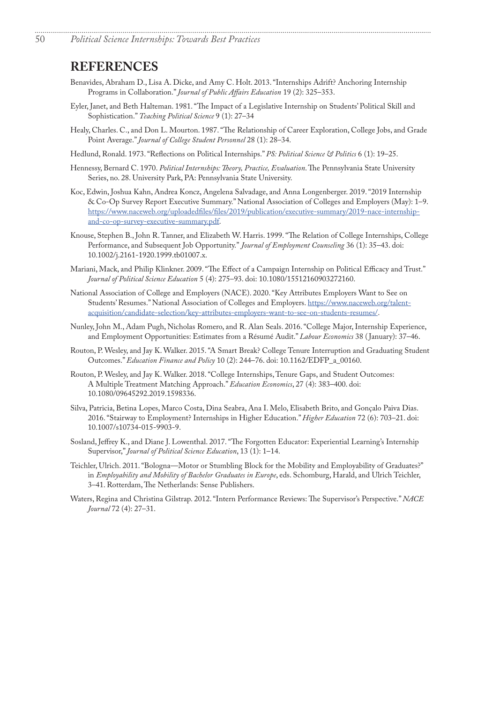#### **REFERENCES**

- Benavides, Abraham D., Lisa A. Dicke, and Amy C. Holt. 2013. "Internships Adrift? Anchoring Internship Programs in Collaboration." *Journal of Public Affairs Education* 19 (2): 325–353.
- Eyler, Janet, and Beth Halteman. 1981. "The Impact of a Legislative Internship on Students' Political Skill and Sophistication." *Teaching Political Science* 9 (1): 27–34
- Healy, Charles. C., and Don L. Mourton. 1987. "The Relationship of Career Exploration, College Jobs, and Grade Point Average." *Journal of College Student Personnel* 28 (1): 28–34.

- Hedlund, Ronald. 1973. "Reflections on Political Internships." *PS: Political Science & Politics* 6 (1): 19–25.
- <span id="page-7-3"></span>Hennessy, Bernard C. 1970. *Political Internships: Theory, Practice, Evaluation*. The Pennsylvania State University Series, no. 28. University Park, PA: Pennsylvania State University.
- Koc, Edwin, Joshua Kahn, Andrea Koncz, Angelena Salvadage, and Anna Longenberger. 2019. "2019 Internship & Co-Op Survey Report Executive Summary." National Association of Colleges and Employers (May): 1–9. [https://www.naceweb.org/uploadedfiles/files/2019/publication/executive-summary/2019-nace-internship](https://www.naceweb.org/uploadedfiles/files/2019/publication/executive-summary/2019-nace-internship-and-co-op-survey-executive-summary.pdf)[and-co-op-survey-executive-summary.pdf](https://www.naceweb.org/uploadedfiles/files/2019/publication/executive-summary/2019-nace-internship-and-co-op-survey-executive-summary.pdf).
- Knouse, Stephen B., John R. Tanner, and Elizabeth W. Harris. 1999. "The Relation of College Internships, College Performance, and Subsequent Job Opportunity." *Journal of Employment Counseling* 36 (1): 35–43. doi: [10.1002/j.2161-1920.1999.tb01007.x](https://doi.org/10.1002/j.2161-1920.1999.tb01007.x).
- Mariani, Mack, and Philip Klinkner. 2009. "The Effect of a Campaign Internship on Political Efficacy and Trust." *Journal of Political Science Education* 5 (4): 275–93. doi: [10.1080/15512160903272160](https://doi.org/10.1080/15512160903272160).
- National Association of College and Employers (NACE). 2020. "Key Attributes Employers Want to See on Students' Resumes." National Association of Colleges and Employers. [https://www.naceweb.org/talent](https://www.naceweb.org/talent-acquisition/candidate-selection/key-attributes-employers-want-to-see-on-students-resumes/)[acquisition/candidate-selection/key-attributes-employers-want-to-see-on-students-resumes/](https://www.naceweb.org/talent-acquisition/candidate-selection/key-attributes-employers-want-to-see-on-students-resumes/).
- Nunley, John M., Adam Pugh, Nicholas Romero, and R. Alan Seals. 2016. "College Major, Internship Experience, and Employment Opportunities: Estimates from a Résumé Audit." *Labour Economics* 38 ( January): 37–46.
- Routon, P. Wesley, and Jay K. Walker. 2015. "A Smart Break? College Tenure Interruption and Graduating Student Outcomes." *Education Finance and Policy* 10 (2): 244–76. doi: [10.1162/EDFP\\_a\\_00160.](https://doi.org/10.1162/EDFP_a_00160)
- <span id="page-7-0"></span>Routon, P. Wesley, and Jay K. Walker. 2018. "College Internships, Tenure Gaps, and Student Outcomes: A Multiple Treatment Matching Approach." *Education Economics*, 27 (4): 383–400. doi: 10.1080/09645292.2019.1598336.
- <span id="page-7-1"></span>Silva, Patricia, Betina Lopes, Marco Costa, Dina Seabra, Ana I. Melo, Elisabeth Brito, and Gonçalo Paiva Dias. 2016. "Stairway to Employment? Internships in Higher Education." *Higher Education* 72 (6): 703–21. doi: [10.1007/s10734-015-9903-9](https://doi.org/10.1007/s10734-015-9903-9).
- <span id="page-7-4"></span>Sosland, Jeffrey K., and Diane J. Lowenthal. 2017. "The Forgotten Educator: Experiential Learning's Internship Supervisor," *Journal of Political Science Education*, 13 (1): 1–14.
- <span id="page-7-2"></span>Teichler, Ulrich. 2011. "Bologna—Motor or Stumbling Block for the Mobility and Employability of Graduates?" in *Employability and Mobility of Bachelor Graduates in Europe*, eds. Schomburg, Harald, and Ulrich Teichler, 3–41. Rotterdam, The Netherlands: Sense Publishers.
- <span id="page-7-5"></span>Waters, Regina and Christina Gilstrap. 2012. "Intern Performance Reviews: The Supervisor's Perspective." *NACE Journal* 72 (4): 27–31.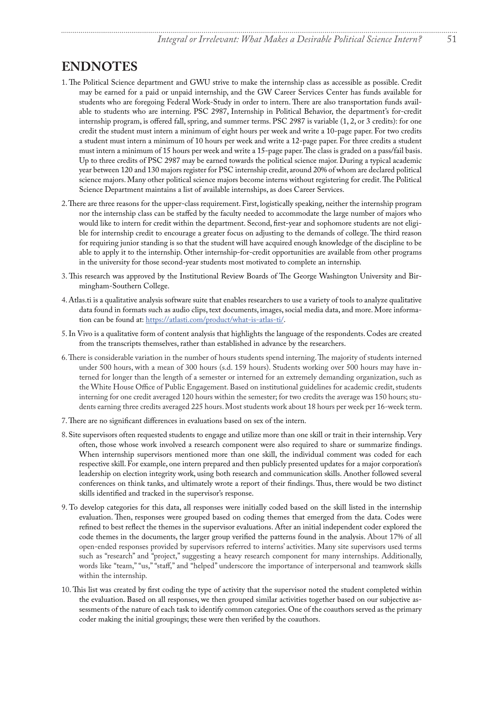#### <span id="page-8-0"></span>**ENDNOTES**

- [1](#page-1-0). The Political Science department and GWU strive to make the internship class as accessible as possible. Credit may be earned for a paid or unpaid internship, and the GW Career Services Center has funds available for students who are foregoing Federal Work-Study in order to intern. There are also transportation funds available to students who are interning. PSC 2987, Internship in Political Behavior, the department's for-credit internship program, is offered fall, spring, and summer terms. PSC 2987 is variable (1, 2, or 3 credits): for one credit the student must intern a minimum of eight hours per week and write a 10-page paper. For two credits a student must intern a minimum of 10 hours per week and write a 12-page paper. For three credits a student must intern a minimum of 15 hours per week and write a 15-page paper. The class is graded on a pass/fail basis. Up to three credits of PSC 2987 may be earned towards the political science major. During a typical academic year between 120 and 130 majors register for PSC internship credit, around 20% of whom are declared political science majors. Many other political science majors become interns without registering for credit. The Political Science Department maintains a list of available internships, as does Career Services.
- [2](#page-1-0). There are three reasons for the upper-class requirement. First, logistically speaking, neither the internship program nor the internship class can be staffed by the faculty needed to accommodate the large number of majors who would like to intern for credit within the department. Second, first-year and sophomore students are not eligible for internship credit to encourage a greater focus on adjusting to the demands of college. The third reason for requiring junior standing is so that the student will have acquired enough knowledge of the discipline to be able to apply it to the internship. Other internship-for-credit opportunities are available from other programs in the university for those second-year students most motivated to complete an internship.
- [3](#page-2-0). This research was approved by the Institutional Review Boards of The George Washington University and Birmingham-Southern College.
- [4](#page-2-0). Atlas.ti is a qualitative analysis software suite that enables researchers to use a variety of tools to analyze qualitative data found in formats such as audio clips, text documents, images, social media data, and more. More information can be found at: [https://atlasti.com/product/what-is-atlas-ti/.](https://atlasti.com/product/what-is-atlas-ti/)
- [5](#page-2-0). In Vivo is a qualitative form of content analysis that highlights the language of the respondents. Codes are created from the transcripts themselves, rather than established in advance by the researchers.
- [6](#page-2-0). There is considerable variation in the number of hours students spend interning. The majority of students interned under 500 hours, with a mean of 300 hours (s.d. 159 hours). Students working over 500 hours may have interned for longer than the length of a semester or interned for an extremely demanding organization, such as the White House Office of Public Engagement. Based on institutional guidelines for academic credit, students interning for one credit averaged 120 hours within the semester; for two credits the average was 150 hours; students earning three credits averaged 225 hours. Most students work about 18 hours per week per 16-week term.
- [7](#page-3-0). There are no significant differences in evaluations based on sex of the intern.
- [8](#page-3-0). Site supervisors often requested students to engage and utilize more than one skill or trait in their internship. Very often, those whose work involved a research component were also required to share or summarize findings. When internship supervisors mentioned more than one skill, the individual comment was coded for each respective skill. For example, one intern prepared and then publicly presented updates for a major corporation's leadership on election integrity work, using both research and communication skills. Another followed several conferences on think tanks, and ultimately wrote a report of their findings. Thus, there would be two distinct skills identified and tracked in the supervisor's response.
- [9](#page-3-0). To develop categories for this data, all responses were initially coded based on the skill listed in the internship evaluation. Then, responses were grouped based on coding themes that emerged from the data. Codes were refined to best reflect the themes in the supervisor evaluations. After an initial independent coder explored the code themes in the documents, the larger group verified the patterns found in the analysis. About 17% of all open-ended responses provided by supervisors referred to interns' activities. Many site supervisors used terms such as "research" and "project," suggesting a heavy research component for many internships. Additionally, words like "team," "us," "staff," and "helped" underscore the importance of interpersonal and teamwork skills within the internship.
- [10](#page-3-0). This list was created by first coding the type of activity that the supervisor noted the student completed within the evaluation. Based on all responses, we then grouped similar activities together based on our subjective assessments of the nature of each task to identify common categories. One of the coauthors served as the primary coder making the initial groupings; these were then verified by the coauthors.